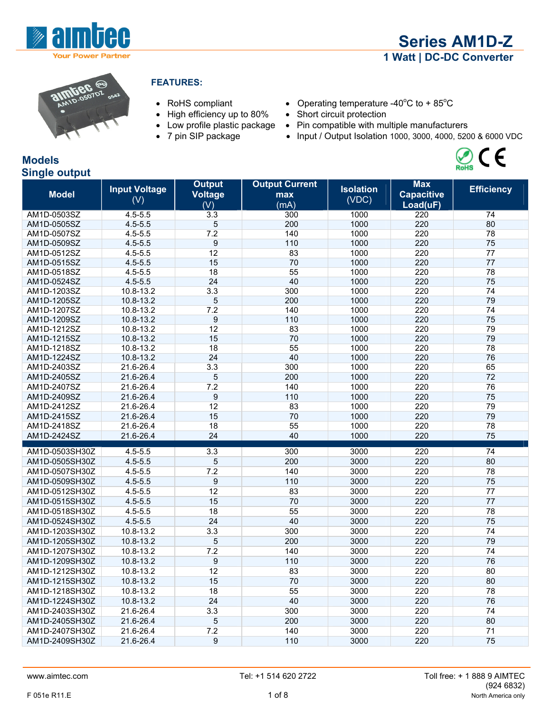

 $\mathcal{O}_{\mathsf{Rohs}}$  (  $\epsilon$ 





#### **FEATURES:**

- 
- High efficiency up to 80% Short circuit protection
- 
- 
- RoHS compliant Operating temperature -40 $^{\circ}$ C to + 85 $^{\circ}$ C
	-
- Low profile plastic package Pin compatible with multiple manufacturers
- 7 pin SIP package Input / Output Isolation 1000, 3000, 4000, 5200 & 6000 VDC

# **Models Single output**

| <b>Model</b>   | <b>Input Voltage</b><br>(V) | <b>Output</b><br><b>Voltage</b><br>(V) | <b>Output Current</b><br>max<br>(mA) | <b>Isolation</b><br>(VDC) | <b>Max</b><br><b>Capacitive</b><br>Load(uF) | <b>Efficiency</b> |
|----------------|-----------------------------|----------------------------------------|--------------------------------------|---------------------------|---------------------------------------------|-------------------|
| AM1D-0503SZ    | $4.5 - 5.5$                 | 3.3                                    | 300                                  | 1000                      | 220                                         | 74                |
| AM1D-0505SZ    | $4.5 - 5.5$                 | 5                                      | 200                                  | 1000                      | 220                                         | 80                |
| AM1D-0507SZ    | $4.5 - 5.5$                 | 7.2                                    | 140                                  | 1000                      | 220                                         | 78                |
| AM1D-0509SZ    | $4.5 - 5.5$                 | $\boldsymbol{9}$                       | 110                                  | 1000                      | 220                                         | 75                |
| AM1D-0512SZ    | $4.5 - 5.5$                 | 12                                     | 83                                   | 1000                      | 220                                         | 77                |
| AM1D-0515SZ    | $4.5 - 5.5$                 | 15                                     | 70                                   | 1000                      | 220                                         | 77                |
| AM1D-0518SZ    | $4.5 - 5.5$                 | 18                                     | 55                                   | 1000                      | 220                                         | 78                |
| AM1D-0524SZ    | $4.5 - 5.5$                 | 24                                     | 40                                   | 1000                      | 220                                         | 75                |
| AM1D-1203SZ    | 10.8-13.2                   | 3.3                                    | 300                                  | 1000                      | 220                                         | 74                |
| AM1D-1205SZ    | 10.8-13.2                   | 5                                      | 200                                  | 1000                      | 220                                         | 79                |
| AM1D-1207SZ    | 10.8-13.2                   | 7.2                                    | 140                                  | 1000                      | 220                                         | 74                |
| AM1D-1209SZ    | 10.8-13.2                   | 9                                      | 110                                  | 1000                      | 220                                         | 75                |
| AM1D-1212SZ    | 10.8-13.2                   | 12                                     | 83                                   | 1000                      | 220                                         | 79                |
| AM1D-1215SZ    | 10.8-13.2                   | 15                                     | 70                                   | 1000                      | 220                                         | 79                |
| AM1D-1218SZ    | 10.8-13.2                   | 18                                     | 55                                   | 1000                      | 220                                         | 78                |
| AM1D-1224SZ    | 10.8-13.2                   | 24                                     | 40                                   | 1000                      | 220                                         | 76                |
| AM1D-2403SZ    | 21.6-26.4                   | 3.3                                    | 300                                  | 1000                      | 220                                         | 65                |
| AM1D-2405SZ    | 21.6-26.4                   | 5                                      | 200                                  | 1000                      | 220                                         | 72                |
| AM1D-2407SZ    | 21.6-26.4                   | 7.2                                    | 140                                  | 1000                      | 220                                         | 76                |
| AM1D-2409SZ    | 21.6-26.4                   | 9                                      | 110                                  | 1000                      | 220                                         | 75                |
| AM1D-2412SZ    | 21.6-26.4                   | 12                                     | 83                                   | 1000                      | 220                                         | 79                |
| AM1D-2415SZ    | 21.6-26.4                   | 15                                     | 70                                   | 1000                      | 220                                         | 79                |
| AM1D-2418SZ    | 21.6-26.4                   | 18                                     | 55                                   | 1000                      | 220                                         | 78                |
| AM1D-2424SZ    | 21.6-26.4                   | 24                                     | 40                                   | 1000                      | 220                                         | 75                |
| AM1D-0503SH30Z | $4.5 - 5.5$                 | $\overline{3.3}$                       | 300                                  | 3000                      | 220                                         | 74                |
| AM1D-0505SH30Z | $4.5 - 5.5$                 | 5                                      | 200                                  | 3000                      | 220                                         | 80                |
| AM1D-0507SH30Z | $4.5 - 5.5$                 | 7.2                                    | 140                                  | 3000                      | 220                                         | 78                |
| AM1D-0509SH30Z | $4.5 - 5.5$                 | 9                                      | 110                                  | 3000                      | 220                                         | 75                |
| AM1D-0512SH30Z | $4.5 - 5.5$                 | 12                                     | 83                                   | 3000                      | 220                                         | 77                |
| AM1D-0515SH30Z | $4.5 - 5.5$                 | 15                                     | 70                                   | 3000                      | 220                                         | 77                |
| AM1D-0518SH30Z | $4.5 - 5.5$                 | 18                                     | 55                                   | 3000                      | 220                                         | 78                |
| AM1D-0524SH30Z | $4.5 - 5.5$                 | 24                                     | 40                                   | 3000                      | 220                                         | 75                |
| AM1D-1203SH30Z | 10.8-13.2                   | 3.3                                    | 300                                  | 3000                      | 220                                         | 74                |
| AM1D-1205SH30Z | 10.8-13.2                   | 5                                      | 200                                  | 3000                      | 220                                         | 79                |
| AM1D-1207SH30Z | 10.8-13.2                   | 7.2                                    | 140                                  | 3000                      | 220                                         | 74                |
| AM1D-1209SH30Z | 10.8-13.2                   | 9                                      | 110                                  | 3000                      | 220                                         | 76                |
| AM1D-1212SH30Z | $10.8 - 13.2$               | 12                                     | 83                                   | 3000                      | 220                                         | 80                |
| AM1D-1215SH30Z | 10.8-13.2                   | 15                                     | 70                                   | 3000                      | 220                                         | 80                |
| AM1D-1218SH30Z | 10.8-13.2                   | 18                                     | 55                                   | 3000                      | 220                                         | 78                |
| AM1D-1224SH30Z | 10.8-13.2                   | 24                                     | 40                                   | 3000                      | 220                                         | 76                |
| AM1D-2403SH30Z | 21.6-26.4                   | 3.3                                    | 300                                  | 3000                      | 220                                         | 74                |
| AM1D-2405SH30Z | 21.6-26.4                   | 5                                      | 200                                  | 3000                      | 220                                         | 80                |
| AM1D-2407SH30Z | 21.6-26.4                   | 7.2                                    | 140                                  | 3000                      | 220                                         | 71                |
| AM1D-2409SH30Z | 21.6-26.4                   | 9                                      | 110                                  | 3000                      | 220                                         | 75                |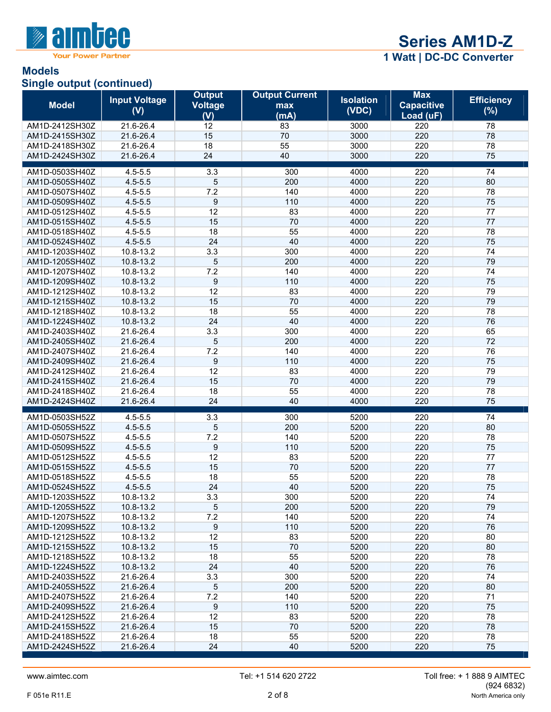

#### **Models Single output (continued)**

| <b>Model</b>                     | <b>Input Voltage</b><br>(V) | <b>Output</b><br><b>Voltage</b><br>(V) | <b>Output Current</b><br>max<br>(mA) | <b>Isolation</b><br>(VDC) | <b>Max</b><br><b>Capacitive</b><br>Load (uF) | <b>Efficiency</b><br>$(\%)$ |
|----------------------------------|-----------------------------|----------------------------------------|--------------------------------------|---------------------------|----------------------------------------------|-----------------------------|
| AM1D-2412SH30Z                   | 21.6-26.4                   | 12                                     | 83                                   | 3000                      | 220                                          | 78                          |
| AM1D-2415SH30Z                   | 21.6-26.4                   | 15                                     | 70                                   | 3000                      | 220                                          | 78                          |
| AM1D-2418SH30Z                   | 21.6-26.4                   | 18                                     | 55                                   | 3000                      | 220                                          | 78                          |
| AM1D-2424SH30Z                   | 21.6-26.4                   | 24                                     | 40                                   | 3000                      | 220                                          | 75                          |
|                                  |                             |                                        |                                      |                           |                                              |                             |
| AM1D-0503SH40Z<br>AM1D-0505SH40Z | $4.5 - 5.5$<br>$4.5 - 5.5$  | 3.3<br>5                               | 300<br>200                           | 4000<br>4000              | 220<br>220                                   | 74<br>80                    |
| AM1D-0507SH40Z                   | $4.5 - 5.5$                 | 7.2                                    | 140                                  | 4000                      | 220                                          | 78                          |
| AM1D-0509SH40Z                   | $4.5 - 5.5$                 | 9                                      | 110                                  | 4000                      | 220                                          | 75                          |
| AM1D-0512SH40Z                   | $4.5 - 5.5$                 | 12                                     | 83                                   | 4000                      | 220                                          | 77                          |
| AM1D-0515SH40Z                   | $4.5 - 5.5$                 | 15                                     | 70                                   | 4000                      | 220                                          | 77                          |
| AM1D-0518SH40Z                   | $4.5 - 5.5$                 | 18                                     | 55                                   | 4000                      | 220                                          | 78                          |
| AM1D-0524SH40Z                   | $4.5 - 5.5$                 | 24                                     | 40                                   | 4000                      | 220                                          | 75                          |
| AM1D-1203SH40Z                   | 10.8-13.2                   | 3.3                                    | 300                                  | 4000                      | 220                                          | 74                          |
| AM1D-1205SH40Z                   | 10.8-13.2                   | 5                                      | 200                                  | 4000                      | 220                                          | 79                          |
| AM1D-1207SH40Z                   | 10.8-13.2                   | 7.2                                    | 140                                  | 4000                      | 220                                          | 74                          |
| AM1D-1209SH40Z                   | 10.8-13.2                   | 9                                      | 110                                  | 4000                      | 220                                          | 75                          |
| AM1D-1212SH40Z                   | 10.8-13.2                   | 12                                     | 83                                   | 4000                      | 220                                          | 79                          |
| AM1D-1215SH40Z                   | 10.8-13.2                   | 15                                     | 70                                   | 4000                      | 220                                          | 79                          |
| AM1D-1218SH40Z                   | 10.8-13.2                   | 18                                     | 55                                   | 4000                      | 220                                          | 78                          |
| AM1D-1224SH40Z                   | 10.8-13.2                   | 24                                     | 40                                   | 4000                      | 220                                          | 76                          |
| AM1D-2403SH40Z                   | 21.6-26.4                   | 3.3                                    | 300                                  | 4000                      | 220                                          | 65                          |
| AM1D-2405SH40Z                   | 21.6-26.4                   | 5                                      | 200                                  | 4000                      | 220                                          | 72                          |
| AM1D-2407SH40Z                   | 21.6-26.4                   | 7.2                                    | 140                                  | 4000                      | 220                                          | 76                          |
| AM1D-2409SH40Z                   | 21.6-26.4                   | 9                                      | 110                                  | 4000                      | 220                                          | 75                          |
| AM1D-2412SH40Z                   | 21.6-26.4                   | 12                                     | 83                                   | 4000                      | 220                                          | 79                          |
| AM1D-2415SH40Z                   | 21.6-26.4                   | 15                                     | 70                                   | 4000                      | 220                                          | 79                          |
| AM1D-2418SH40Z                   | 21.6-26.4                   | 18                                     | 55                                   | 4000                      | 220                                          | 78                          |
| AM1D-2424SH40Z                   | 21.6-26.4                   | 24                                     | 40                                   | 4000                      | 220                                          | 75                          |
| AM1D-0503SH52Z                   | $4.5 - 5.5$                 | 3.3                                    | 300                                  | 5200                      | 220                                          | 74                          |
| AM1D-0505SH52Z                   | $4.5 - 5.5$                 | 5                                      | 200                                  | 5200                      | 220                                          | 80                          |
| AM1D-0507SH52Z                   | $4.5 - 5.5$                 | 7.2                                    | 140                                  | 5200                      | 220                                          | 78                          |
| AM1D-0509SH52Z                   | $4.5 - 5.5$                 | $\boldsymbol{9}$                       | 110                                  | 5200                      | 220                                          | 75                          |
| AM1D-0512SH52Z                   | $4.5 - 5.5$                 | 12                                     | 83                                   | 5200                      | 220                                          | 77                          |
| AM1D-0515SH52Z                   | $4.5 - 5.5$                 | 15                                     | 70                                   | 5200                      | 220                                          | 77                          |
| AM1D-0518SH52Z                   | $4.5 - 5.5$                 | 18                                     | 55                                   | 5200                      | 220                                          | 78                          |
| AM1D-0524SH52Z                   | $4.5 - 5.5$                 | 24                                     | 40                                   | 5200                      | 220                                          | 75                          |
| AM1D-1203SH52Z                   | 10.8-13.2                   | 3.3                                    | 300                                  | 5200                      | 220                                          | 74                          |
| AM1D-1205SH52Z<br>AM1D-1207SH52Z | 10.8-13.2<br>10.8-13.2      | 5<br>7.2                               | 200<br>140                           | 5200<br>5200              | 220<br>220                                   | 79<br>74                    |
| AM1D-1209SH52Z                   | 10.8-13.2                   | 9                                      | 110                                  | 5200                      | 220                                          | 76                          |
| AM1D-1212SH52Z                   | 10.8-13.2                   | 12                                     | 83                                   | 5200                      | 220                                          | 80                          |
| AM1D-1215SH52Z                   | 10.8-13.2                   | 15                                     | 70                                   | 5200                      | 220                                          | 80                          |
| AM1D-1218SH52Z                   | 10.8-13.2                   | 18                                     | 55                                   | 5200                      | 220                                          | 78                          |
| AM1D-1224SH52Z                   | 10.8-13.2                   | 24                                     | 40                                   | 5200                      | 220                                          | 76                          |
| AM1D-2403SH52Z                   | 21.6-26.4                   | 3.3                                    | 300                                  | 5200                      | 220                                          | 74                          |
| AM1D-2405SH52Z                   | 21.6-26.4                   | 5                                      | 200                                  | 5200                      | 220                                          | 80                          |
| AM1D-2407SH52Z                   | 21.6-26.4                   | 7.2                                    | 140                                  | 5200                      | 220                                          | 71                          |
| AM1D-2409SH52Z                   | 21.6-26.4                   | 9                                      | 110                                  | 5200                      | 220                                          | 75                          |
| AM1D-2412SH52Z                   | 21.6-26.4                   | 12                                     | 83                                   | 5200                      | 220                                          | 78                          |
| AM1D-2415SH52Z                   | 21.6-26.4                   | 15                                     | 70                                   | 5200                      | 220                                          | 78                          |
| AM1D-2418SH52Z                   | 21.6-26.4                   | 18                                     | 55                                   | 5200                      | 220                                          | 78                          |
| AM1D-2424SH52Z                   | 21.6-26.4                   | 24                                     | 40                                   | 5200                      | 220                                          | 75                          |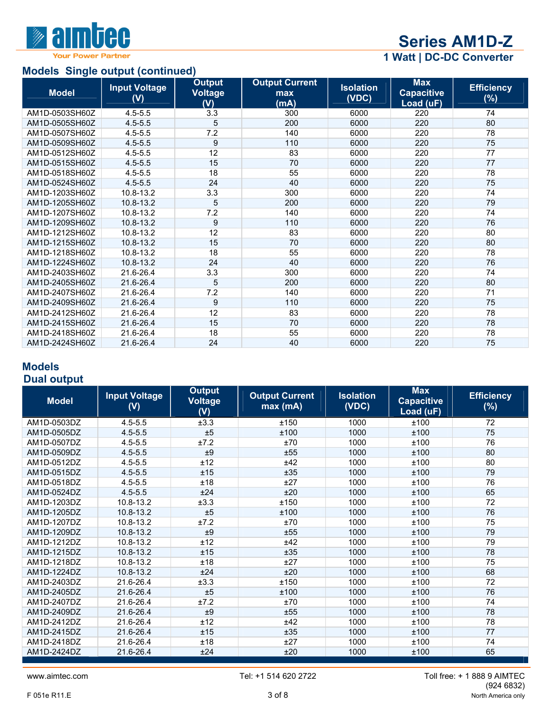

# **Models Single output (continued)**

 **1 Watt | DC-DC Converter** 

| <b>MOUSE</b> Single Output (Continued) |                             |                                        |                                      |                           |                                              |                             |
|----------------------------------------|-----------------------------|----------------------------------------|--------------------------------------|---------------------------|----------------------------------------------|-----------------------------|
| <b>Model</b>                           | <b>Input Voltage</b><br>(V) | <b>Output</b><br><b>Voltage</b><br>(V) | <b>Output Current</b><br>max<br>(mA) | <b>Isolation</b><br>(VDC) | <b>Max</b><br><b>Capacitive</b><br>Load (uF) | <b>Efficiency</b><br>$(\%)$ |
| AM1D-0503SH60Z                         | $4.5 - 5.5$                 | 3.3                                    | 300                                  | 6000                      | 220                                          | 74                          |
| AM1D-0505SH60Z                         | $4.5 - 5.5$                 | 5                                      | 200                                  | 6000                      | 220                                          | 80                          |
| AM1D-0507SH60Z                         | $4.5 - 5.5$                 | 7.2                                    | 140                                  | 6000                      | 220                                          | 78                          |
| AM1D-0509SH60Z                         | $4.5 - 5.5$                 | 9                                      | 110                                  | 6000                      | 220                                          | 75                          |
| AM1D-0512SH60Z                         | $4.5 - 5.5$                 | 12                                     | 83                                   | 6000                      | 220                                          | 77                          |
| AM1D-0515SH60Z                         | $4.5 - 5.5$                 | 15                                     | 70                                   | 6000                      | 220                                          | 77                          |
| AM1D-0518SH60Z                         | $4.5 - 5.5$                 | 18                                     | 55                                   | 6000                      | 220                                          | 78                          |
| AM1D-0524SH60Z                         | $4.5 - 5.5$                 | 24                                     | 40                                   | 6000                      | 220                                          | 75                          |
| AM1D-1203SH60Z                         | 10.8-13.2                   | 3.3                                    | 300                                  | 6000                      | 220                                          | 74                          |
| AM1D-1205SH60Z                         | 10.8-13.2                   | 5                                      | 200                                  | 6000                      | 220                                          | 79                          |
| AM1D-1207SH60Z                         | 10.8-13.2                   | 7.2                                    | 140                                  | 6000                      | 220                                          | 74                          |
| AM1D-1209SH60Z                         | 10.8-13.2                   | 9                                      | 110                                  | 6000                      | 220                                          | 76                          |
| AM1D-1212SH60Z                         | 10.8-13.2                   | 12                                     | 83                                   | 6000                      | 220                                          | 80                          |
| AM1D-1215SH60Z                         | 10.8-13.2                   | 15                                     | 70                                   | 6000                      | 220                                          | 80                          |
| AM1D-1218SH60Z                         | 10.8-13.2                   | 18                                     | 55                                   | 6000                      | 220                                          | 78                          |
| AM1D-1224SH60Z                         | 10.8-13.2                   | 24                                     | 40                                   | 6000                      | 220                                          | 76                          |
| AM1D-2403SH60Z                         | 21.6-26.4                   | 3.3                                    | 300                                  | 6000                      | 220                                          | 74                          |
| AM1D-2405SH60Z                         | 21.6-26.4                   | 5                                      | 200                                  | 6000                      | 220                                          | 80                          |
| AM1D-2407SH60Z                         | 21.6-26.4                   | 7.2                                    | 140                                  | 6000                      | 220                                          | 71                          |
| AM1D-2409SH60Z                         | 21.6-26.4                   | 9                                      | 110                                  | 6000                      | 220                                          | 75                          |
| AM1D-2412SH60Z                         | 21.6-26.4                   | 12                                     | 83                                   | 6000                      | 220                                          | 78                          |
| AM1D-2415SH60Z                         | 21.6-26.4                   | 15                                     | 70                                   | 6000                      | 220                                          | 78                          |
| AM1D-2418SH60Z                         | 21.6-26.4                   | 18                                     | 55                                   | 6000                      | 220                                          | 78                          |
| AM1D-2424SH60Z                         | 21.6-26.4                   | 24                                     | 40                                   | 6000                      | 220                                          | 75                          |

# **Models Dual output**

| <b>Model</b> | <b>Input Voltage</b><br>(V) | <b>Output</b><br><b>Voltage</b><br>(V) | <b>Output Current</b><br>max(mA) | <b>Isolation</b><br>(VDC) | <b>Max</b><br><b>Capacitive</b><br>Load (uF) | <b>Efficiency</b><br>$(\%)$ |
|--------------|-----------------------------|----------------------------------------|----------------------------------|---------------------------|----------------------------------------------|-----------------------------|
| AM1D-0503DZ  | $4.5 - 5.5$                 | ±3.3                                   | ±150                             | 1000                      | ±100                                         | 72                          |
| AM1D-0505DZ  | $4.5 - 5.5$                 | ±5                                     | ±100                             | 1000                      | ±100                                         | 75                          |
| AM1D-0507DZ  | $4.5 - 5.5$                 | ±7.2                                   | ±70                              | 1000                      | ±100                                         | 76                          |
| AM1D-0509DZ  | $4.5 - 5.5$                 | ±9                                     | ±55                              | 1000                      | ±100                                         | 80                          |
| AM1D-0512DZ  | $4.5 - 5.5$                 | ±12                                    | ±42                              | 1000                      | ±100                                         | 80                          |
| AM1D-0515DZ  | $4.5 - 5.5$                 | ±15                                    | ±35                              | 1000                      | ±100                                         | 79                          |
| AM1D-0518DZ  | $4.5 - 5.5$                 | ±18                                    | ±27                              | 1000                      | ±100                                         | 76                          |
| AM1D-0524DZ  | $4.5 - 5.5$                 | ±24                                    | ±20                              | 1000                      | ±100                                         | 65                          |
| AM1D-1203DZ  | 10.8-13.2                   | ±3.3                                   | ±150                             | 1000                      | ±100                                         | 72                          |
| AM1D-1205DZ  | 10.8-13.2                   | ±5                                     | ±100                             | 1000                      | ±100                                         | 76                          |
| AM1D-1207DZ  | 10.8-13.2                   | ±7.2                                   | ±70                              | 1000                      | ±100                                         | 75                          |
| AM1D-1209DZ  | 10.8-13.2                   | ±9                                     | ±55                              | 1000                      | ±100                                         | 79                          |
| AM1D-1212DZ  | 10.8-13.2                   | ±12                                    | ±42                              | 1000                      | ±100                                         | 79                          |
| AM1D-1215DZ  | 10.8-13.2                   | ±15                                    | ±35                              | 1000                      | ±100                                         | 78                          |
| AM1D-1218DZ  | 10.8-13.2                   | ±18                                    | ±27                              | 1000                      | ±100                                         | 75                          |
| AM1D-1224DZ  | 10.8-13.2                   | ±24                                    | ±20                              | 1000                      | ±100                                         | 68                          |
| AM1D-2403DZ  | 21.6-26.4                   | ±3.3                                   | ±150                             | 1000                      | ±100                                         | 72                          |
| AM1D-2405DZ  | 21.6-26.4                   | ±5                                     | ±100                             | 1000                      | ±100                                         | 76                          |
| AM1D-2407DZ  | 21.6-26.4                   | ±7.2                                   | ±70                              | 1000                      | ±100                                         | 74                          |
| AM1D-2409DZ  | 21.6-26.4                   | ±9                                     | ±55                              | 1000                      | ±100                                         | 78                          |
| AM1D-2412DZ  | 21.6-26.4                   | ±12                                    | ±42                              | 1000                      | ±100                                         | 78                          |
| AM1D-2415DZ  | 21.6-26.4                   | ±15                                    | ±35                              | 1000                      | ±100                                         | 77                          |
| AM1D-2418DZ  | 21.6-26.4                   | ±18                                    | ±27                              | 1000                      | ±100                                         | 74                          |
| AM1D-2424DZ  | 21.6-26.4                   | ±24                                    | ±20                              | 1000                      | ±100                                         | 65                          |
|              |                             |                                        |                                  |                           |                                              |                             |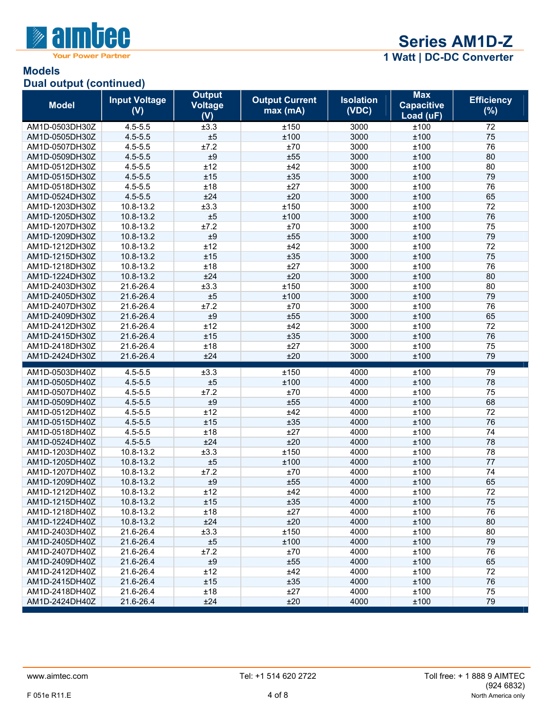

# **Models Dual output (continued)**

| <b>Model</b>   | <b>Input Voltage</b><br>(V) | <b>Output</b><br><b>Voltage</b><br>(V) | <b>Output Current</b><br>max(mA) | <b>Isolation</b><br>(VDC) | <b>Max</b><br><b>Capacitive</b><br>Load (uF) | <b>Efficiency</b><br>(%) |
|----------------|-----------------------------|----------------------------------------|----------------------------------|---------------------------|----------------------------------------------|--------------------------|
| AM1D-0503DH30Z | $4.5 - 5.5$                 | ±3.3                                   | ±150                             | 3000                      | ±100                                         | 72                       |
| AM1D-0505DH30Z | $4.5 - 5.5$                 | ±5                                     | ±100                             | 3000                      | ±100                                         | 75                       |
| AM1D-0507DH30Z | $4.5 - 5.5$                 | ±7.2                                   | ±70                              | 3000                      | ±100                                         | 76                       |
| AM1D-0509DH30Z | $4.5 - 5.5$                 | ±9                                     | ±55                              | 3000                      | ±100                                         | 80                       |
| AM1D-0512DH30Z | $4.5 - 5.5$                 | ±12                                    | ±42                              | 3000                      | ±100                                         | 80                       |
| AM1D-0515DH30Z | $4.5 - 5.5$                 | ±15                                    | ±35                              | 3000                      | ±100                                         | 79                       |
| AM1D-0518DH30Z | $4.5 - 5.5$                 | ±18                                    | ±27                              | 3000                      | ±100                                         | 76                       |
| AM1D-0524DH30Z | $4.5 - 5.5$                 | ±24                                    | ±20                              | 3000                      | ±100                                         | 65                       |
| AM1D-1203DH30Z | 10.8-13.2                   | ±3.3                                   | ±150                             | 3000                      | ±100                                         | 72                       |
| AM1D-1205DH30Z | 10.8-13.2                   | ±5                                     | ±100                             | 3000                      | ±100                                         | 76                       |
| AM1D-1207DH30Z | 10.8-13.2                   | ±7.2                                   | ±70                              | 3000                      | ±100                                         | 75                       |
| AM1D-1209DH30Z | 10.8-13.2                   | ±9                                     | ±55                              | 3000                      | ±100                                         | 79                       |
| AM1D-1212DH30Z | 10.8-13.2                   | ±12                                    | ±42                              | 3000                      | ±100                                         | 72                       |
| AM1D-1215DH30Z | 10.8-13.2                   | ±15                                    | ±35                              | 3000                      | ±100                                         | 75                       |
| AM1D-1218DH30Z | 10.8-13.2                   | ±18                                    | ±27                              | 3000                      | ±100                                         | 76                       |
| AM1D-1224DH30Z | 10.8-13.2                   | ±24                                    | ±20                              | 3000                      | ±100                                         | 80                       |
| AM1D-2403DH30Z | 21.6-26.4                   | ±3.3                                   | ±150                             | 3000                      | ±100                                         | 80                       |
| AM1D-2405DH30Z | 21.6-26.4                   | ±5                                     | ±100                             | 3000                      | ±100                                         | 79                       |
| AM1D-2407DH30Z | 21.6-26.4                   | ±7.2                                   | ±70                              | 3000                      | ±100                                         | 76                       |
| AM1D-2409DH30Z | 21.6-26.4                   | $\pm 9$                                | ±55                              | 3000                      | ±100                                         | 65                       |
| AM1D-2412DH30Z | 21.6-26.4                   | ±12                                    | ±42                              | 3000                      | ±100                                         | 72                       |
| AM1D-2415DH30Z | 21.6-26.4                   | ±15                                    | ±35                              | 3000                      | ±100                                         | 76                       |
| AM1D-2418DH30Z | 21.6-26.4                   | ±18                                    | ±27                              | 3000                      | ±100                                         | 75                       |
| AM1D-2424DH30Z | 21.6-26.4                   | ±24                                    | ±20                              | 3000                      | ±100                                         | 79                       |
| AM1D-0503DH40Z | $4.5 - 5.5$                 | ±3.3                                   | ±150                             | 4000                      | ±100                                         | 79                       |
| AM1D-0505DH40Z | $4.5 - 5.5$                 | ±5                                     | ±100                             | 4000                      | ±100                                         | 78                       |
| AM1D-0507DH40Z | $4.5 - 5.5$                 | ±7.2                                   | ±70                              | 4000                      | ±100                                         | 75                       |
| AM1D-0509DH40Z | $4.5 - 5.5$                 | ±9                                     | ±55                              | 4000                      | ±100                                         | 68                       |
| AM1D-0512DH40Z | $4.5 - 5.5$                 | ±12                                    | ±42                              | 4000                      | ±100                                         | 72                       |
| AM1D-0515DH40Z | $4.5 - 5.5$                 | ±15                                    | ±35                              | 4000                      | ±100                                         | 76                       |
| AM1D-0518DH40Z | $4.5 - 5.5$                 | ±18                                    | ±27                              | 4000                      | ±100                                         | 74                       |
| AM1D-0524DH40Z | $4.5 - 5.5$                 | ±24                                    | ±20                              | 4000                      | ±100                                         | 78                       |
| AM1D-1203DH40Z | 10.8-13.2                   | ±3.3                                   | ±150                             | 4000                      | ±100                                         | 78                       |
| AM1D-1205DH40Z | 10.8-13.2                   | ±5                                     | ±100                             | 4000                      | ±100                                         | 77                       |
| AM1D-1207DH40Z | 10.8-13.2                   | ±7.2                                   | ±70                              | 4000                      | ±100                                         | 74                       |
| AM1D-1209DH40Z | 10.8-13.2                   | ±9                                     | ±55                              | 4000                      | ±100                                         | 65                       |
| AM1D-1212DH40Z | 10.8-13.2                   | ±12                                    | ±42                              | 4000                      | ±100                                         | 72                       |
| AM1D-1215DH40Z | 10.8-13.2                   | ±15                                    | ±35                              | 4000                      | ±100                                         | 75                       |
| AM1D-1218DH40Z | 10.8-13.2                   | ±18                                    | ±27                              | 4000                      | ±100                                         | 76                       |
| AM1D-1224DH40Z | 10.8-13.2                   | ±24                                    | ±20                              | 4000                      | ±100                                         | 80                       |
| AM1D-2403DH40Z | 21.6-26.4                   | ±3.3                                   | ±150                             | 4000                      | ±100                                         | 80                       |
| AM1D-2405DH40Z | 21.6-26.4                   | ±5                                     | ±100                             | 4000                      | ±100                                         | 79                       |
| AM1D-2407DH40Z | 21.6-26.4                   | ±7.2                                   | ±70                              | 4000                      | ±100                                         | 76                       |
| AM1D-2409DH40Z | 21.6-26.4                   | $\pm 9$                                | ±55                              | 4000                      | ±100                                         | 65                       |
| AM1D-2412DH40Z | 21.6-26.4                   | ±12                                    | ±42                              | 4000                      | ±100                                         | 72                       |
| AM1D-2415DH40Z | 21.6-26.4                   | ±15                                    | ±35                              | 4000                      | ±100                                         | 76                       |
| AM1D-2418DH40Z | 21.6-26.4                   | ±18                                    | ±27                              | 4000                      | ±100                                         | 75                       |
| AM1D-2424DH40Z | 21.6-26.4                   | ±24                                    | ±20                              | 4000                      | ±100                                         | 79                       |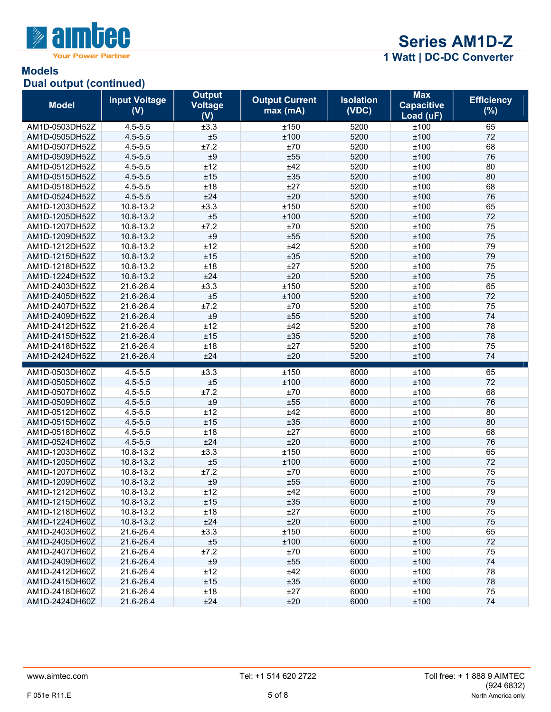

### **Models Dual output (continued)**

| <b>Model</b>   | <b>Input Voltage</b><br>(V) | <b>Output</b><br><b>Voltage</b><br>(V) | <b>Output Current</b><br>max(mA) | <b>Isolation</b><br>(VDC) | <b>Max</b><br><b>Capacitive</b><br>Load (uF) | <b>Efficiency</b><br>(%) |
|----------------|-----------------------------|----------------------------------------|----------------------------------|---------------------------|----------------------------------------------|--------------------------|
| AM1D-0503DH52Z | $4.5 - 5.5$                 | ±3.3                                   | ±150                             | 5200                      | ±100                                         | 65                       |
| AM1D-0505DH52Z | $4.5 - 5.5$                 | ±5                                     | ±100                             | 5200                      | ±100                                         | 72                       |
| AM1D-0507DH52Z | $4.5 - 5.5$                 | ±7.2                                   | ±70                              | 5200                      | ±100                                         | 68                       |
| AM1D-0509DH52Z | $4.5 - 5.5$                 | ±9                                     | ±55                              | 5200                      | ±100                                         | 76                       |
| AM1D-0512DH52Z | $4.5 - 5.5$                 | ±12                                    | ±42                              | 5200                      | ±100                                         | 80                       |
| AM1D-0515DH52Z | $4.5 - 5.5$                 | ±15                                    | ±35                              | 5200                      | ±100                                         | 80                       |
| AM1D-0518DH52Z | $4.5 - 5.5$                 | ±18                                    | ±27                              | 5200                      | ±100                                         | 68                       |
| AM1D-0524DH52Z | $4.5 - 5.5$                 | ±24                                    | ±20                              | 5200                      | ±100                                         | 76                       |
| AM1D-1203DH52Z | 10.8-13.2                   | ±3.3                                   | ±150                             | 5200                      | ±100                                         | 65                       |
| AM1D-1205DH52Z | 10.8-13.2                   | ±5                                     | ±100                             | 5200                      | ±100                                         | 72                       |
| AM1D-1207DH52Z | 10.8-13.2                   | ±7.2                                   | ±70                              | 5200                      | ±100                                         | 75                       |
| AM1D-1209DH52Z | 10.8-13.2                   | $\pm 9$                                | ±55                              | 5200                      | ±100                                         | 75                       |
| AM1D-1212DH52Z | 10.8-13.2                   | ±12                                    | ±42                              | 5200                      | ±100                                         | 79                       |
| AM1D-1215DH52Z | 10.8-13.2                   | ±15                                    | ±35                              | 5200                      | ±100                                         | 79                       |
| AM1D-1218DH52Z | $10.8 - 13.2$               | ±18                                    | ±27                              | 5200                      | ±100                                         | 75                       |
| AM1D-1224DH52Z | 10.8-13.2                   | ±24                                    | ±20                              | 5200                      | ±100                                         | 75                       |
| AM1D-2403DH52Z | 21.6-26.4                   | ±3.3                                   | ±150                             | 5200                      | ±100                                         | 65                       |
| AM1D-2405DH52Z | 21.6-26.4                   | ±5                                     | ±100                             | 5200                      | ±100                                         | 72                       |
| AM1D-2407DH52Z | 21.6-26.4                   | ±7.2                                   | ±70                              | 5200                      | ±100                                         | 75                       |
| AM1D-2409DH52Z | 21.6-26.4                   | ±9                                     | ±55                              | 5200                      | ±100                                         | 74                       |
| AM1D-2412DH52Z | 21.6-26.4                   | ±12                                    | ±42                              | 5200                      | ±100                                         | 78                       |
| AM1D-2415DH52Z | 21.6-26.4                   | ±15                                    | ±35                              | 5200                      | ±100                                         | 78                       |
| AM1D-2418DH52Z | 21.6-26.4                   | ±18                                    | ±27                              | 5200                      | ±100                                         | 75                       |
| AM1D-2424DH52Z | 21.6-26.4                   | ±24                                    | ±20                              | 5200                      | ±100                                         | 74                       |
| AM1D-0503DH60Z | $4.5 - 5.5$                 | ±3.3                                   | ±150                             | 6000                      | ±100                                         | 65                       |
| AM1D-0505DH60Z | $4.5 - 5.5$                 | ±5                                     | ±100                             | 6000                      | ±100                                         | 72                       |
| AM1D-0507DH60Z | $4.5 - 5.5$                 | ±7.2                                   | ±70                              | 6000                      | ±100                                         | 68                       |
| AM1D-0509DH60Z | $4.5 - 5.5$                 | ±9                                     | ±55                              | 6000                      | ±100                                         | 76                       |
| AM1D-0512DH60Z | $4.5 - 5.5$                 | ±12                                    | ±42                              | 6000                      | ±100                                         | 80                       |
| AM1D-0515DH60Z | $4.5 - 5.5$                 | ±15                                    | ±35                              | 6000                      | ±100                                         | 80                       |
| AM1D-0518DH60Z | $4.5 - 5.5$                 | ±18                                    | ±27                              | 6000                      | ±100                                         | 68                       |
| AM1D-0524DH60Z | $4.5 - 5.5$                 | ±24                                    | ±20                              | 6000                      | ±100                                         | 76                       |
| AM1D-1203DH60Z | 10.8-13.2                   | ±3.3                                   | ±150                             | 6000                      | ±100                                         | 65                       |
| AM1D-1205DH60Z | 10.8-13.2                   | ±5                                     | ±100                             | 6000                      | ±100                                         | 72                       |
| AM1D-1207DH60Z | 10.8-13.2                   | ±7.2                                   | ±70                              | 6000                      | ±100                                         | 75                       |
| AM1D-1209DH60Z | 10.8-13.2                   | $\pm 9$                                | ±55                              | 6000                      | ±100                                         | 75                       |
| AM1D-1212DH60Z | 10.8-13.2                   | ±12                                    | ±42                              | 6000                      | ±100                                         | 79                       |
| AM1D-1215DH60Z | 10.8-13.2                   | ±15                                    | ±35                              | 6000                      | ±100                                         | 79                       |
| AM1D-1218DH60Z | 10.8-13.2                   | ±18                                    | ±27                              | 6000                      | ±100                                         | 75                       |
| AM1D-1224DH60Z | 10.8-13.2                   | ±24                                    | ±20                              | 6000                      | ±100                                         | 75                       |
| AM1D-2403DH60Z | 21.6-26.4                   | ±3.3                                   | ±150                             | 6000                      | ±100                                         | 65                       |
| AM1D-2405DH60Z | 21.6-26.4                   | ±5                                     | ±100                             | 6000                      | ±100                                         | 72                       |
| AM1D-2407DH60Z | 21.6-26.4                   | ±7.2                                   | ±70                              | 6000                      | ±100                                         | 75                       |
| AM1D-2409DH60Z | 21.6-26.4                   | $\pm 9$                                | ±55                              | 6000                      | ±100                                         | 74                       |
| AM1D-2412DH60Z | 21.6-26.4                   | ±12                                    | ±42                              | 6000                      | ±100                                         | 78                       |
| AM1D-2415DH60Z | 21.6-26.4                   | ±15                                    | ±35                              | 6000                      | ±100                                         | 78                       |
| AM1D-2418DH60Z | 21.6-26.4                   | ±18                                    | ±27                              | 6000                      | ±100                                         | 75                       |
| AM1D-2424DH60Z | 21.6-26.4                   | ±24                                    | ±20                              | 6000                      | ±100                                         | 74                       |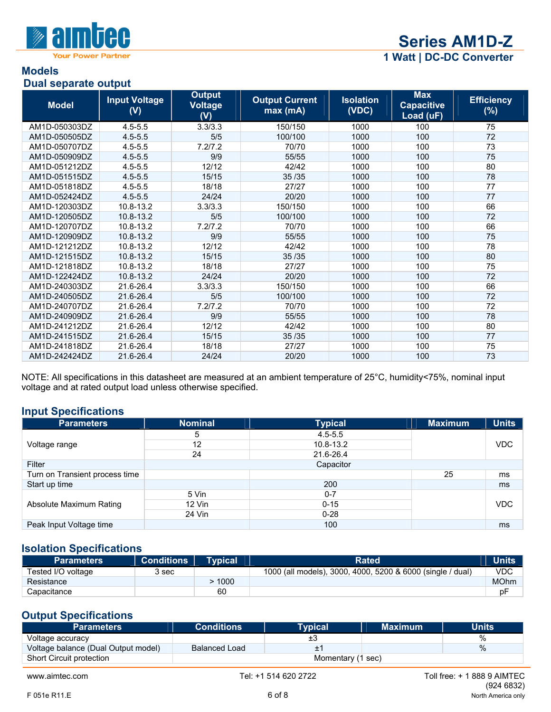

#### **Models Dual separate output**

| Duar suparatu batput |                             |                                        |                                  |                           |                                              |                          |
|----------------------|-----------------------------|----------------------------------------|----------------------------------|---------------------------|----------------------------------------------|--------------------------|
| <b>Model</b>         | <b>Input Voltage</b><br>(V) | <b>Output</b><br><b>Voltage</b><br>(V) | <b>Output Current</b><br>max(mA) | <b>Isolation</b><br>(VDC) | <b>Max</b><br><b>Capacitive</b><br>Load (uF) | <b>Efficiency</b><br>(%) |
| AM1D-050303DZ        | $4.5 - 5.5$                 | 3.3/3.3                                | 150/150                          | 1000                      | 100                                          | 75                       |
| AM1D-050505DZ        | $4.5 - 5.5$                 | 5/5                                    | 100/100                          | 1000                      | 100                                          | 72                       |
| AM1D-050707DZ        | $4.5 - 5.5$                 | 7.2/7.2                                | 70/70                            | 1000                      | 100                                          | 73                       |
| AM1D-050909DZ        | $4.5 - 5.5$                 | 9/9                                    | 55/55                            | 1000                      | 100                                          | 75                       |
| AM1D-051212DZ        | $4.5 - 5.5$                 | 12/12                                  | 42/42                            | 1000                      | 100                                          | 80                       |
| AM1D-051515DZ        | $4.5 - 5.5$                 | 15/15                                  | 35/35                            | 1000                      | 100                                          | 78                       |
| AM1D-051818DZ        | $4.5 - 5.5$                 | 18/18                                  | 27/27                            | 1000                      | 100                                          | 77                       |
| AM1D-052424DZ        | $4.5 - 5.5$                 | 24/24                                  | 20/20                            | 1000                      | 100                                          | 77                       |
| AM1D-120303DZ        | 10.8-13.2                   | 3.3/3.3                                | 150/150                          | 1000                      | 100                                          | 66                       |
| AM1D-120505DZ        | 10.8-13.2                   | 5/5                                    | 100/100                          | 1000                      | 100                                          | 72                       |
| AM1D-120707DZ        | 10.8-13.2                   | 7.2/7.2                                | 70/70                            | 1000                      | 100                                          | 66                       |
| AM1D-120909DZ        | 10.8-13.2                   | 9/9                                    | 55/55                            | 1000                      | 100                                          | 75                       |
| AM1D-121212DZ        | 10.8-13.2                   | 12/12                                  | 42/42                            | 1000                      | 100                                          | 78                       |
| AM1D-121515DZ        | 10.8-13.2                   | 15/15                                  | 35/35                            | 1000                      | 100                                          | 80                       |
| AM1D-121818DZ        | 10.8-13.2                   | 18/18                                  | 27/27                            | 1000                      | 100                                          | 75                       |
| AM1D-122424DZ        | 10.8-13.2                   | 24/24                                  | 20/20                            | 1000                      | 100                                          | 72                       |
| AM1D-240303DZ        | 21.6-26.4                   | 3.3/3.3                                | 150/150                          | 1000                      | 100                                          | 66                       |
| AM1D-240505DZ        | 21.6-26.4                   | 5/5                                    | 100/100                          | 1000                      | 100                                          | 72                       |
| AM1D-240707DZ        | 21.6-26.4                   | 7.2/7.2                                | 70/70                            | 1000                      | 100                                          | 72                       |
| AM1D-240909DZ        | 21.6-26.4                   | 9/9                                    | 55/55                            | 1000                      | 100                                          | 78                       |
| AM1D-241212DZ        | 21.6-26.4                   | 12/12                                  | 42/42                            | 1000                      | 100                                          | 80                       |
| AM1D-241515DZ        | 21.6-26.4                   | 15/15                                  | 35/35                            | 1000                      | 100                                          | 77                       |
| AM1D-241818DZ        | 21.6-26.4                   | 18/18                                  | 27/27                            | 1000                      | 100                                          | 75                       |
| AM1D-242424DZ        | 21.6-26.4                   | 24/24                                  | 20/20                            | 1000                      | 100                                          | 73                       |

NOTE: All specifications in this datasheet are measured at an ambient temperature of 25°C, humidity<75%, nominal input voltage and at rated output load unless otherwise specified.

# **Input Specifications**

| . .<br><b>Parameters</b>       | <b>Nominal</b> | <b>Typical</b> | <b>Maximum</b> | <b>Units</b> |
|--------------------------------|----------------|----------------|----------------|--------------|
|                                | 5              | $4.5 - 5.5$    |                |              |
| Voltage range                  | 12             | 10.8-13.2      |                | <b>VDC</b>   |
|                                | 24             | 21.6-26.4      |                |              |
| Filter                         |                | Capacitor      |                |              |
| Turn on Transient process time |                |                | 25             | ms           |
| Start up time                  |                | 200            |                | ms           |
|                                | 5 Vin          | $0 - 7$        |                |              |
| Absolute Maximum Rating        | 12 Vin         | $0 - 15$       |                | <b>VDC</b>   |
|                                | 24 Vin         | $0 - 28$       |                |              |
| Peak Input Voltage time        |                | 100            |                | ms           |

#### **Isolation Specifications**

| <b>Parameters</b>  | <b>Conditions</b> | <b>Typical</b> | Rated                                                      | <b>Units</b> |
|--------------------|-------------------|----------------|------------------------------------------------------------|--------------|
| Tested I/O voltage | 3 sec             |                | 1000 (all models), 3000, 4000, 5200 & 6000 (single / dual) | VDC          |
| Resistance         |                   | 1000           |                                                            | <b>MOhm</b>  |
| Capacitance        |                   | 60             |                                                            | рF           |

# **Output Specifications**

| <b>Parameters</b>                   | <b>Conditions</b>    | <b>Typical</b>    | <b>Maximum</b> | Units         |
|-------------------------------------|----------------------|-------------------|----------------|---------------|
| Voltage accuracy                    |                      |                   |                | $\%$          |
| Voltage balance (Dual Output model) | <b>Balanced Load</b> |                   |                | $\frac{0}{0}$ |
| <b>Short Circuit protection</b>     |                      | Momentary (1 sec) |                |               |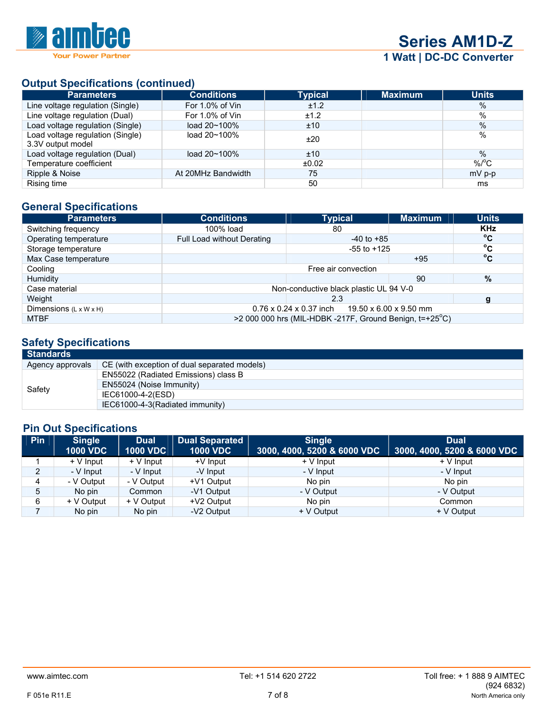

# **Output Specifications (continued)**

| <b>Parameters</b>                                     | <b>Conditions</b>      | <b>Typical</b> | <b>Maximum</b> | <b>Units</b>       |
|-------------------------------------------------------|------------------------|----------------|----------------|--------------------|
| Line voltage regulation (Single)                      | For 1.0% of Vin        | ±1.2           |                | $\%$               |
| Line voltage regulation (Dual)                        | For 1.0% of Vin        | ±1.2           |                | $\%$               |
| Load voltage regulation (Single)                      | load $20 - 100\%$      | ±10            |                | $\%$               |
| Load voltage regulation (Single)<br>3.3V output model | load $20 \times 100\%$ | ±20            |                | %                  |
| Load voltage regulation (Dual)                        | load $20 - 100\%$      | ±10            |                | $\%$               |
| Temperature coefficient                               |                        | ±0.02          |                | $%$ <sup>o</sup> C |
| Ripple & Noise                                        | At 20MHz Bandwidth     | 75             |                | $mV$ p-p           |
| Rising time                                           |                        | 50             |                | ms                 |

# **General Specifications**

| <b>Parameters</b>                  | <b>Conditions</b>          | <b>Typical</b>                                                | <b>Maximum</b> | <b>Units</b> |
|------------------------------------|----------------------------|---------------------------------------------------------------|----------------|--------------|
| Switching frequency                | 100% load                  | 80                                                            |                | <b>KHz</b>   |
| Operating temperature              | Full Load without Derating | $-40$ to $+85$                                                |                | $^{\circ}$ C |
| Storage temperature                |                            | $-55$ to $+125$                                               |                | $^{\circ}$ C |
| Max Case temperature               |                            |                                                               | $+95$          | $^{\circ}$ C |
| Cooling                            |                            | Free air convection                                           |                |              |
| Humidity                           |                            |                                                               | 90             | %            |
| Case material                      |                            | Non-conductive black plastic UL 94 V-0                        |                |              |
| Weight                             |                            | 2.3                                                           |                |              |
| Dimensions $(L \times W \times H)$ |                            | $0.76 \times 0.24 \times 0.37$ inch<br>19.50 x 6.00 x 9.50 mm |                |              |
| <b>MTBF</b>                        |                            | >2 000 000 hrs (MIL-HDBK -217F, Ground Benign, t=+25°C)       |                |              |

# **Safety Specifications**

| Standards        |                                              |  |  |  |  |  |
|------------------|----------------------------------------------|--|--|--|--|--|
| Agency approvals | CE (with exception of dual separated models) |  |  |  |  |  |
| Safety           | EN55022 (Radiated Emissions) class B         |  |  |  |  |  |
|                  | EN55024 (Noise Immunity)                     |  |  |  |  |  |
|                  | IEC61000-4-2(ESD)                            |  |  |  |  |  |
|                  | IEC61000-4-3(Radiated immunity)              |  |  |  |  |  |

# **Pin Out Specifications**

| Pin            | <b>Single</b><br><b>1000 VDC</b> | <b>Dual</b><br><b>1000 VDC</b> | Dual Separated<br><b>1000 VDC</b> | <b>Single</b><br>3000, 4000, 5200 & 6000 VDC | <b>Dual</b><br>3000, 4000, 5200 & 6000 VDC |
|----------------|----------------------------------|--------------------------------|-----------------------------------|----------------------------------------------|--------------------------------------------|
|                | + V Input                        | + V Input                      | +V Input                          | $+V$ Input                                   | $+V$ Input                                 |
| $\overline{2}$ | - V Input                        | - V Input                      | -V Input                          | - V Input                                    | - V Input                                  |
| 4              | - V Output                       | - V Output                     | +V1 Output                        | No pin                                       | No pin                                     |
| 5              | No pin                           | Common                         | -V1 Output                        | - V Output                                   | - V Output                                 |
| 6              | + V Output                       | + V Output                     | +V2 Output                        | No pin                                       | Common                                     |
|                | No pin                           | No pin                         | -V2 Output                        | + V Output                                   | + V Output                                 |